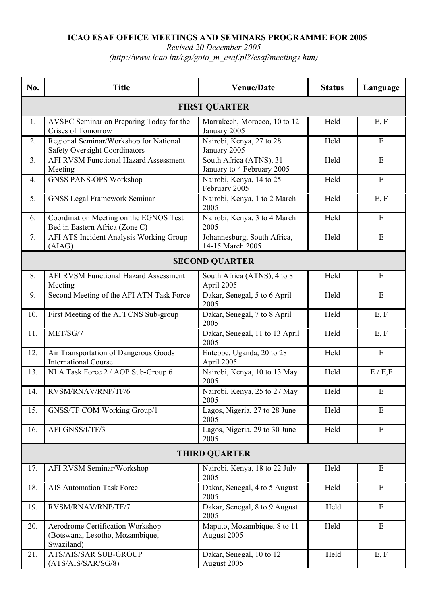## **ICAO ESAF OFFICE MEETINGS AND SEMINARS PROGRAMME FOR 2005**

*Revised 20 December 2005* 

*(http://www.icao.int/cgi/goto\_m\_esaf.pl?/esaf/meetings.htm)* 

| No.                   | <b>Title</b>                                                                      | <b>Venue/Date</b>                                     | <b>Status</b> | Language    |  |  |
|-----------------------|-----------------------------------------------------------------------------------|-------------------------------------------------------|---------------|-------------|--|--|
| <b>FIRST QUARTER</b>  |                                                                                   |                                                       |               |             |  |  |
| 1.                    | AVSEC Seminar on Preparing Today for the<br>Crises of Tomorrow                    | Marrakech, Morocco, 10 to 12<br>January 2005          | Held          | E, F        |  |  |
| 2.                    | Regional Seminar/Workshop for National<br><b>Safety Oversight Coordinators</b>    | Nairobi, Kenya, 27 to 28<br>January 2005              | Held          | E           |  |  |
| 3.                    | <b>AFI RVSM Functional Hazard Assessment</b><br>Meeting                           | South Africa (ATNS), 31<br>January to 4 February 2005 | Held          | E           |  |  |
| 4.                    | <b>GNSS PANS-OPS Workshop</b>                                                     | Nairobi, Kenya, 14 to 25<br>February 2005             | Held          | E           |  |  |
| 5.                    | <b>GNSS Legal Framework Seminar</b>                                               | Nairobi, Kenya, 1 to 2 March<br>2005                  | Held          | E, F        |  |  |
| 6.                    | Coordination Meeting on the EGNOS Test<br>Bed in Eastern Africa (Zone C)          | Nairobi, Kenya, 3 to 4 March<br>2005                  | Held          | E           |  |  |
| 7.                    | <b>AFI ATS Incident Analysis Working Group</b><br>(AIAG)                          | Johannesburg, South Africa,<br>14-15 March 2005       | Held          | $\mathbf E$ |  |  |
| <b>SECOND QUARTER</b> |                                                                                   |                                                       |               |             |  |  |
| 8.                    | <b>AFI RVSM Functional Hazard Assessment</b><br>Meeting                           | South Africa (ATNS), 4 to 8<br>April 2005             | Held          | E           |  |  |
| 9.                    | Second Meeting of the AFI ATN Task Force                                          | Dakar, Senegal, 5 to 6 April<br>2005                  | Held          | E           |  |  |
| 10.                   | First Meeting of the AFI CNS Sub-group                                            | Dakar, Senegal, 7 to 8 April<br>2005                  | Held          | E, F        |  |  |
| 11.                   | MET/SG/7                                                                          | Dakar, Senegal, 11 to 13 April<br>2005                | Held          | E, F        |  |  |
| 12.                   | Air Transportation of Dangerous Goods<br><b>International Course</b>              | Entebbe, Uganda, 20 to 28<br>April 2005               | Held          | E           |  |  |
| 13.                   | NLA Task Force 2 / AOP Sub-Group 6                                                | Nairobi, Kenya, 10 to 13 May<br>2005                  | Held          | E / E, F    |  |  |
| 14.                   | RVSM/RNAV/RNP/TF/6                                                                | Nairobi, Kenya, 25 to 27 May<br>2005                  | Held          | E           |  |  |
| 15.                   | GNSS/TF COM Working Group/1                                                       | Lagos, Nigeria, 27 to 28 June<br>2005                 | Held          | E           |  |  |
| 16.                   | AFI GNSS/I/TF/3                                                                   | Lagos, Nigeria, 29 to 30 June<br>2005                 | Held          | E           |  |  |
| <b>THIRD QUARTER</b>  |                                                                                   |                                                       |               |             |  |  |
| 17.                   | AFI RVSM Seminar/Workshop                                                         | Nairobi, Kenya, 18 to 22 July<br>2005                 | Held          | E           |  |  |
| 18.                   | <b>AIS Automation Task Force</b>                                                  | Dakar, Senegal, 4 to 5 August<br>2005                 | Held          | E           |  |  |
| 19.                   | RVSM/RNAV/RNP/TF/7                                                                | Dakar, Senegal, 8 to 9 August<br>2005                 | Held          | E           |  |  |
| 20.                   | Aerodrome Certification Workshop<br>(Botswana, Lesotho, Mozambique,<br>Swaziland) | Maputo, Mozambique, 8 to 11<br>August 2005            | Held          | E           |  |  |
| 21.                   | <b>ATS/AIS/SAR SUB-GROUP</b><br>(ATS/AIS/SAR/SG/8)                                | Dakar, Senegal, 10 to 12<br>August 2005               | Held          | E, F        |  |  |